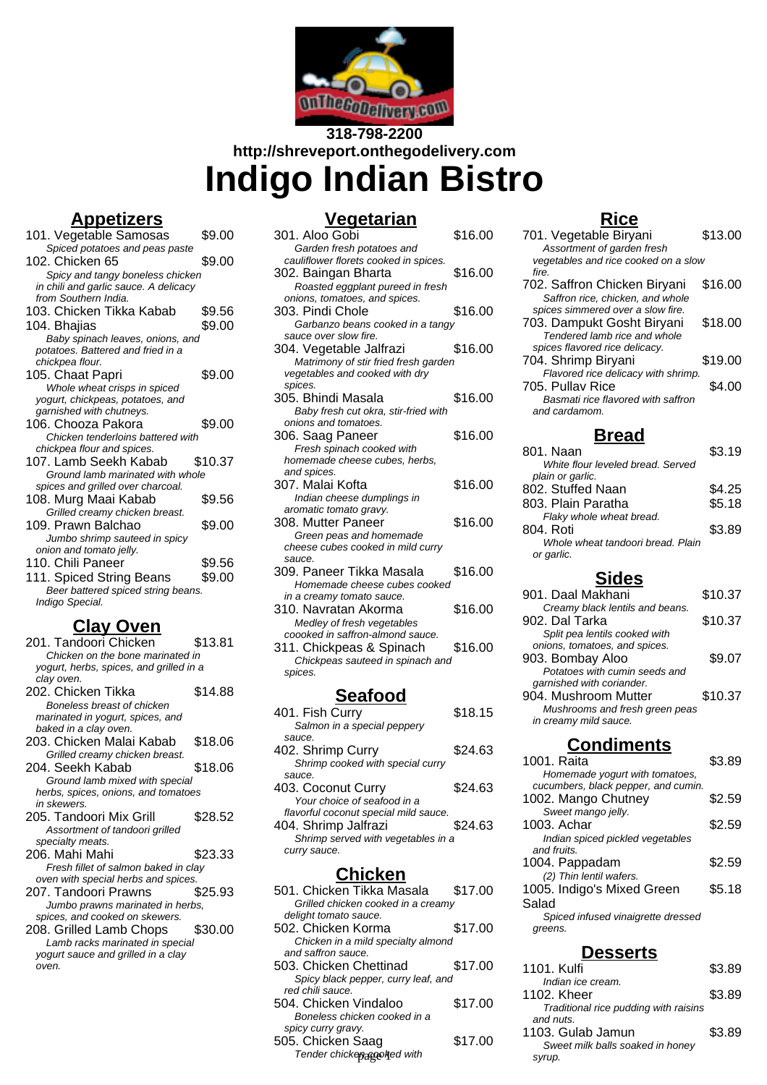

# **318-798-2200 http://shreveport.onthegodelivery.com Indigo Indian Bistro**

## **Appetizers**

| 101. Vegetable Samosas                | \$9.00  |
|---------------------------------------|---------|
| Spiced potatoes and peas paste        |         |
| 102. Chicken 65                       | \$9.00  |
| Spicy and tangy boneless chicken      |         |
| in chili and garlic sauce. A delicacy |         |
| from Southern India.                  |         |
| 103. Chicken Tikka Kabab              | \$9.56  |
| 104. Bhajias                          | \$9.00  |
| Baby spinach leaves, onions, and      |         |
| potatoes. Battered and fried in a     |         |
| chickpea flour.                       |         |
| 105. Chaat Papri                      | \$9.00  |
| Whole wheat crisps in spiced          |         |
| yogurt, chickpeas, potatoes, and      |         |
| garnished with chutneys.              |         |
| 106. Chooza Pakora                    | \$9.00  |
| Chicken tenderloins battered with     |         |
| chickpea flour and spices.            |         |
| 107. Lamb Seekh Kabab                 | \$10.37 |
| Ground lamb marinated with whole      |         |
| spices and grilled over charcoal.     |         |
| 108. Murg Maai Kabab                  | \$9.56  |
| Grilled creamy chicken breast.        |         |
| 109. Prawn Balchao                    | \$9.00  |
| Jumbo shrimp sauteed in spicy         |         |
| onion and tomato jelly.               |         |
| 110. Chili Paneer                     | \$9.56  |
| 111. Spiced String Beans              | \$9.00  |
| Beer battered spiced string beans.    |         |
| Indigo Special.                       |         |

## **Clay Oven**

| 201. Tandoori Chicken                   | \$13.81 |
|-----------------------------------------|---------|
| Chicken on the bone marinated in        |         |
| yogurt, herbs, spices, and grilled in a |         |
| clay oven.                              |         |
| 202. Chicken Tikka                      | \$14.88 |
| Boneless breast of chicken              |         |
| marinated in yogurt, spices, and        |         |
| baked in a clay oven.                   |         |
| 203. Chicken Malai Kabab                | \$18.06 |
| Grilled creamy chicken breast.          |         |
| 204. Seekh Kabab                        | \$18.06 |
| Ground lamb mixed with special          |         |
| herbs, spices, onions, and tomatoes     |         |
| in skewers.                             |         |
| 205. Tandoori Mix Grill                 | \$28.52 |
| Assortment of tandoori grilled          |         |
| specialty meats.                        |         |
| 206. Mahi Mahi                          | \$23.33 |
| Fresh fillet of salmon baked in clay    |         |
| oven with special herbs and spices.     |         |
| 207. Tandoori Prawns                    | \$25.93 |
| Jumbo prawns marinated in herbs,        |         |
| spices, and cooked on skewers.          |         |
| 208. Grilled Lamb Chops \$30.00         |         |
| Lamb racks marinated in special         |         |
| yogurt sauce and grilled in a clay      |         |
| oven.                                   |         |
|                                         |         |

# **Vegetarian**

| $101$ Fich Curni                          | 0.1015  |
|-------------------------------------------|---------|
| <u>Seafood</u>                            |         |
| spices.                                   |         |
| Chickpeas sauteed in spinach and          |         |
| 311. Chickpeas & Spinach                  | \$16.00 |
| coooked in saffron-almond sauce.          |         |
| Medley of fresh vegetables                |         |
| 310. Navratan Akorma                      | \$16.00 |
| in a creamy tomato sauce.                 |         |
| Homemade cheese cubes cooked              |         |
| 309. Paneer Tikka Masala                  | \$16.00 |
| sauce.                                    |         |
| cheese cubes cooked in mild curry         |         |
| Green peas and homemade                   |         |
| 308. Mutter Paneer                        | \$16.00 |
| aromatic tomato gravy.                    |         |
| Indian cheese dumplings in                |         |
| 307. Malai Kofta                          | \$16.00 |
| and spices.                               |         |
| homemade cheese cubes, herbs,             |         |
| Fresh spinach cooked with                 |         |
| 306. Saag Paneer                          | \$16.00 |
| onions and tomatoes.                      |         |
| Baby fresh cut okra, stir-fried with      |         |
| 305. Bhindi Masala                        | \$16.00 |
| vegetables and cooked with dry<br>spices. |         |
| Matrimony of stir fried fresh garden      |         |
| 304. Vegetable Jalfrazi                   | \$16.00 |
| sauce over slow fire.                     |         |
| Garbanzo beans cooked in a tangy          |         |
| 303. Pindi Chole                          | \$16.00 |
| onions, tomatoes, and spices.             |         |
| Roasted eggplant pureed in fresh          |         |
| 302. Baingan Bharta                       | \$16.00 |
| cauliflower florets cooked in spices.     |         |
| Garden fresh potatoes and                 |         |
| 301. Aloo Gobi                            | \$16.00 |

| 401. Fish Curry                       | \$18.15 |
|---------------------------------------|---------|
| Salmon in a special peppery           |         |
| sauce.                                |         |
| 402. Shrimp Curry                     | \$24.63 |
| Shrimp cooked with special curry      |         |
| sauce.                                |         |
| 403. Coconut Curry                    | \$24.63 |
| Your choice of seafood in a           |         |
| flavorful coconut special mild sauce. |         |
| 404. Shrimp Jalfrazi                  | \$24.63 |
| Shrimp served with vegetables in a    |         |
| curry sauce.                          |         |
|                                       |         |

## **Chicken**

| 501. Chicken Tikka Masala           | \$17.00 | 1005.l  |
|-------------------------------------|---------|---------|
| Grilled chicken cooked in a creamy  |         | Salad   |
| delight tomato sauce.               |         | Spio    |
| 502. Chicken Korma                  | \$17.00 | green.  |
| Chicken in a mild specialty almond  |         |         |
| and saffron sauce.                  |         |         |
| 503. Chicken Chettinad              | \$17.00 | 1101.l  |
| Spicy black pepper, curry leaf, and |         | Indi    |
| red chili sauce.                    |         | 1102. l |
| 504. Chicken Vindaloo               | \$17.00 | Trad    |
| Boneless chicken cooked in a        |         | and ni  |
| spicy curry gravy.                  |         | 1103.0  |
| 505. Chicken Saag                   | \$17.00 | Swe     |
| Tender chickepaggolted with         |         | syrup.  |
|                                     |         |         |

### **Rice**

| 701. Vegetable Biryani               | \$13.00 |
|--------------------------------------|---------|
| Assortment of garden fresh           |         |
| vegetables and rice cooked on a slow |         |
| fire.                                |         |
| 702. Saffron Chicken Biryani         | \$16.00 |
| Saffron rice, chicken, and whole     |         |
| spices simmered over a slow fire.    |         |
| 703. Dampukt Gosht Biryani           | \$18.00 |
| Tendered lamb rice and whole         |         |
| spices flavored rice delicacy.       |         |
| 704. Shrimp Biryani                  | \$19.00 |
| Flavored rice delicacy with shrimp.  |         |
| 705. Pullav Rice                     | \$4.00  |
| Basmati rice flavored with saffron   |         |
| and cardamom.                        |         |
|                                      |         |

#### **Bread**

| 801. Naan                         | \$3.19 |
|-----------------------------------|--------|
| White flour leveled bread. Served |        |
| plain or garlic.                  |        |
| 802. Stuffed Naan                 | \$4.25 |
| 803. Plain Paratha                | \$5.18 |
| Flaky whole wheat bread.          |        |
| 804. Roti                         | \$3.89 |
| Whole wheat tandoori bread. Plain |        |
| or garlic.                        |        |
|                                   |        |

# **Sides**

| 901. Daal Makhani               | \$10.37 |
|---------------------------------|---------|
| Creamy black lentils and beans. |         |
| 902. Dal Tarka                  | \$10.37 |
| Split pea lentils cooked with   |         |
| onions, tomatoes, and spices.   |         |
| 903. Bombay Aloo                | \$9.07  |
| Potatoes with cumin seeds and   |         |
| garnished with coriander.       |         |
| 904. Mushroom Mutter            | \$10.37 |
| Mushrooms and fresh green peas  |         |
| in creamy mild sauce.           |         |
|                                 |         |

## **Condiments**

| esserts                             |        |
|-------------------------------------|--------|
| greens.                             |        |
| Spiced infused vinaigrette dressed  |        |
| Salad                               |        |
| 1005. Indigo's Mixed Green          | \$5.18 |
| (2) Thin lentil wafers.             |        |
| 1004. Pappadam                      | \$2.59 |
| and fruits.                         |        |
| Indian spiced pickled vegetables    |        |
| 1003. Achar                         | \$2.59 |
| Sweet mango jelly.                  |        |
| 1002. Mango Chutney                 | \$2.59 |
| cucumbers, black pepper, and cumin. |        |
| Homemade yogurt with tomatoes,      |        |
| 1001. Raita                         | \$3.89 |

| 1101. Kulfi                                           | \$3.89 |
|-------------------------------------------------------|--------|
| Indian ice cream.<br>1102. Kheer                      | \$3.89 |
| Traditional rice pudding with raisins<br>and nuts.    |        |
| 1103. Gulab Jamun<br>Sweet milk balls soaked in honey | \$3.89 |
| syrup.                                                |        |